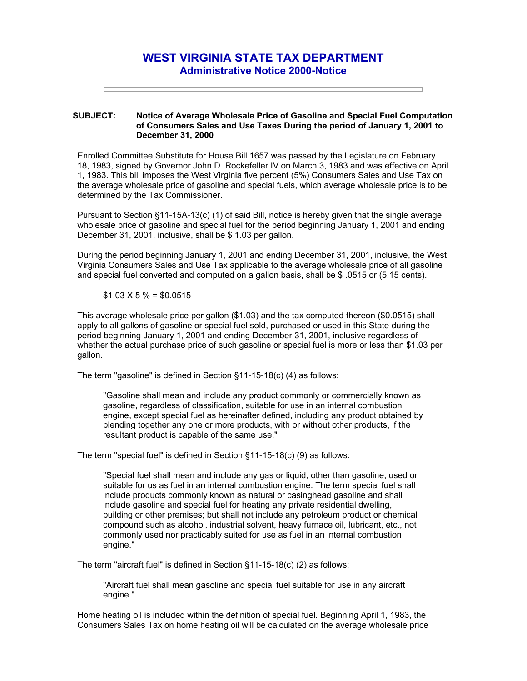## **WEST VIRGINIA STATE TAX DEPARTMENT Administrative Notice 2000-Notice**

## **SUBJECT: Notice of Average Wholesale Price of Gasoline and Special Fuel Computation of Consumers Sales and Use Taxes During the period of January 1, 2001 to December 31, 2000**

Enrolled Committee Substitute for House Bill 1657 was passed by the Legislature on February 18, 1983, signed by Governor John D. Rockefeller IV on March 3, 1983 and was effective on April 1, 1983. This bill imposes the West Virginia five percent (5%) Consumers Sales and Use Tax on the average wholesale price of gasoline and special fuels, which average wholesale price is to be determined by the Tax Commissioner.

Pursuant to Section §11-15A-13(c) (1) of said Bill, notice is hereby given that the single average wholesale price of gasoline and special fuel for the period beginning January 1, 2001 and ending December 31, 2001, inclusive, shall be \$ 1.03 per gallon.

During the period beginning January 1, 2001 and ending December 31, 2001, inclusive, the West Virginia Consumers Sales and Use Tax applicable to the average wholesale price of all gasoline and special fuel converted and computed on a gallon basis, shall be \$ .0515 or (5.15 cents).

 $$1.03 \times 5\% = $0.0515$ 

This average wholesale price per gallon (\$1.03) and the tax computed thereon (\$0.0515) shall apply to all gallons of gasoline or special fuel sold, purchased or used in this State during the period beginning January 1, 2001 and ending December 31, 2001, inclusive regardless of whether the actual purchase price of such gasoline or special fuel is more or less than \$1.03 per gallon.

The term "gasoline" is defined in Section §11-15-18(c) (4) as follows:

"Gasoline shall mean and include any product commonly or commercially known as gasoline, regardless of classification, suitable for use in an internal combustion engine, except special fuel as hereinafter defined, including any product obtained by blending together any one or more products, with or without other products, if the resultant product is capable of the same use."

The term "special fuel" is defined in Section §11-15-18(c) (9) as follows:

"Special fuel shall mean and include any gas or liquid, other than gasoline, used or suitable for us as fuel in an internal combustion engine. The term special fuel shall include products commonly known as natural or casinghead gasoline and shall include gasoline and special fuel for heating any private residential dwelling, building or other premises; but shall not include any petroleum product or chemical compound such as alcohol, industrial solvent, heavy furnace oil, lubricant, etc., not commonly used nor practicably suited for use as fuel in an internal combustion engine."

The term "aircraft fuel" is defined in Section §11-15-18(c) (2) as follows:

"Aircraft fuel shall mean gasoline and special fuel suitable for use in any aircraft engine."

Home heating oil is included within the definition of special fuel. Beginning April 1, 1983, the Consumers Sales Tax on home heating oil will be calculated on the average wholesale price